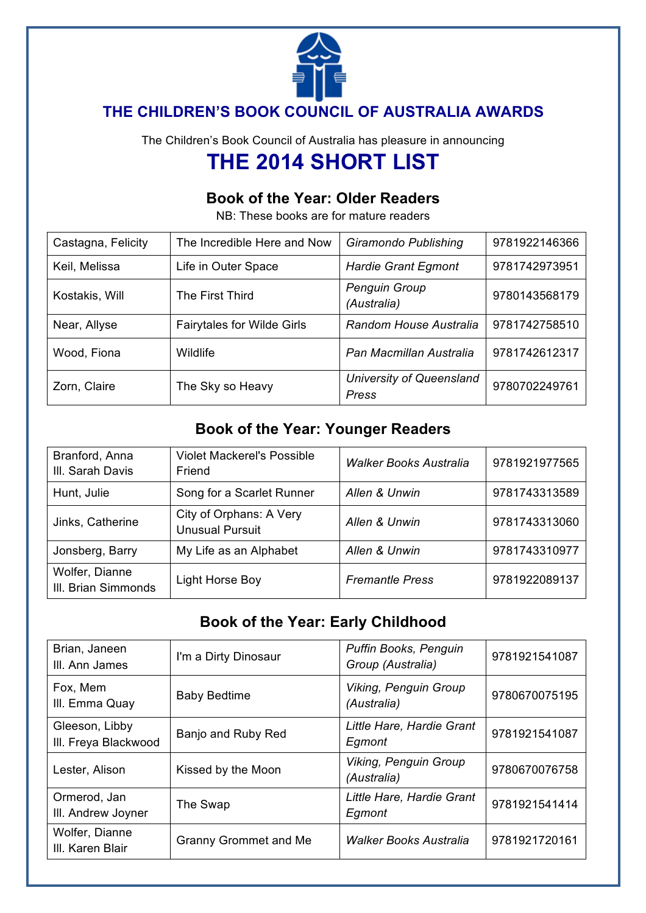

# **THE CHILDREN'S BOOK COUNCIL OF AUSTRALIA AWARDS**

The Children's Book Council of Australia has pleasure in announcing

# **THE 2014 SHORT LIST**

# **Book of the Year: Older Readers**

NB: These books are for mature readers

| Castagna, Felicity | The Incredible Here and Now       | Giramondo Publishing                | 9781922146366 |
|--------------------|-----------------------------------|-------------------------------------|---------------|
| Keil, Melissa      | Life in Outer Space               | <b>Hardie Grant Egmont</b>          | 9781742973951 |
| Kostakis, Will     | The First Third                   | <b>Penguin Group</b><br>(Australia) | 9780143568179 |
| Near, Allyse       | <b>Fairytales for Wilde Girls</b> | Random House Australia              | 9781742758510 |
| Wood, Fiona        | Wildlife                          | Pan Macmillan Australia             | 9781742612317 |
| Zorn, Claire       | The Sky so Heavy                  | University of Queensland<br>Press   | 9780702249761 |

#### **Book of the Year: Younger Readers**

| Branford, Anna<br>III. Sarah Davis    | <b>Violet Mackerel's Possible</b><br>Friend       | Walker Books Australia | 9781921977565 |
|---------------------------------------|---------------------------------------------------|------------------------|---------------|
| Hunt, Julie                           | Song for a Scarlet Runner                         | Allen & Unwin          | 9781743313589 |
| Jinks, Catherine                      | City of Orphans: A Very<br><b>Unusual Pursuit</b> | Allen & Unwin          | 9781743313060 |
| Jonsberg, Barry                       | My Life as an Alphabet                            | Allen & Unwin          | 9781743310977 |
| Wolfer, Dianne<br>III. Brian Simmonds | Light Horse Boy                                   | <b>Fremantle Press</b> | 9781922089137 |

# **Book of the Year: Early Childhood**

| Brian, Janeen<br>III. Ann James        | I'm a Dirty Dinosaur         | Puffin Books, Penguin<br>Group (Australia)  | 9781921541087 |
|----------------------------------------|------------------------------|---------------------------------------------|---------------|
| Fox, Mem<br>III. Emma Quay             | <b>Baby Bedtime</b>          | <b>Viking, Penguin Group</b><br>(Australia) | 9780670075195 |
| Gleeson, Libby<br>III. Freya Blackwood | Banjo and Ruby Red           | Little Hare, Hardie Grant<br>Egmont         | 9781921541087 |
| Lester, Alison                         | Kissed by the Moon           | <b>Viking, Penguin Group</b><br>(Australia) | 9780670076758 |
| Ormerod, Jan<br>III. Andrew Joyner     | The Swap                     | Little Hare, Hardie Grant<br>Egmont         | 9781921541414 |
| Wolfer, Dianne<br>III. Karen Blair     | <b>Granny Grommet and Me</b> | Walker Books Australia                      | 9781921720161 |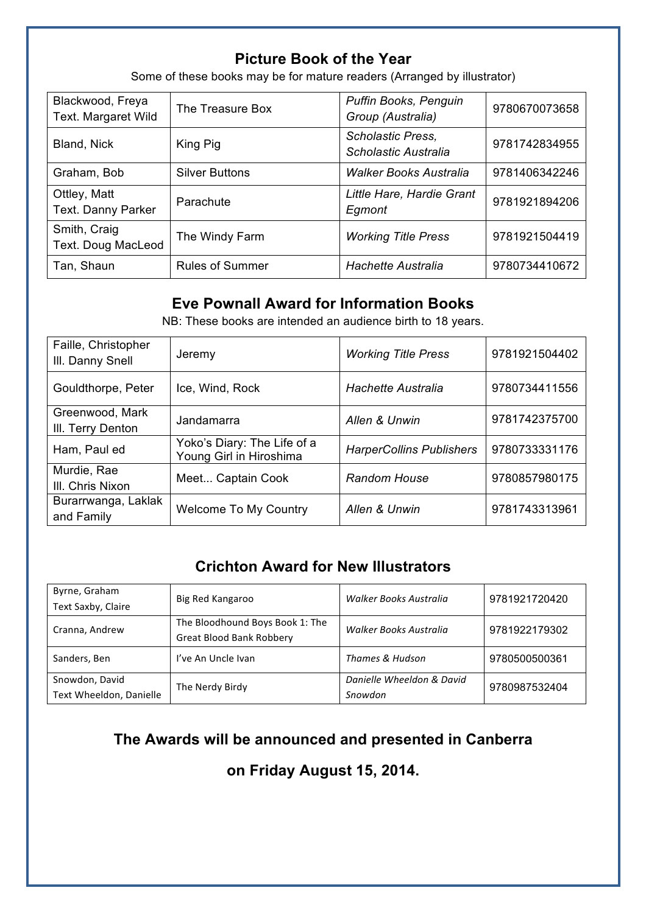#### **Picture Book of the Year**

Some of these books may be for mature readers (Arranged by illustrator)

| Blackwood, Freya<br>Text. Margaret Wild   | The Treasure Box       | Puffin Books, Penguin<br>Group (Australia) | 9780670073658 |
|-------------------------------------------|------------------------|--------------------------------------------|---------------|
| Bland, Nick                               | King Pig               | Scholastic Press,<br>Scholastic Australia  | 9781742834955 |
| Graham, Bob                               | <b>Silver Buttons</b>  | <b>Walker Books Australia</b>              | 9781406342246 |
| Ottley, Matt<br>Text. Danny Parker        | Parachute              | Little Hare, Hardie Grant<br>Egmont        | 9781921894206 |
| Smith, Craig<br><b>Text. Doug MacLeod</b> | The Windy Farm         | <b>Working Title Press</b>                 | 9781921504419 |
| Tan, Shaun                                | <b>Rules of Summer</b> | <b>Hachette Australia</b>                  | 9780734410672 |

#### **Eve Pownall Award for Information Books**

NB: These books are intended an audience birth to 18 years.

| Faille, Christopher<br>III. Danny Snell | Jeremy                                                 | <b>Working Title Press</b>      | 9781921504402 |
|-----------------------------------------|--------------------------------------------------------|---------------------------------|---------------|
| Gouldthorpe, Peter                      | Ice, Wind, Rock                                        | <b>Hachette Australia</b>       | 9780734411556 |
| Greenwood, Mark<br>III. Terry Denton    | Jandamarra                                             | Allen & Unwin                   | 9781742375700 |
| Ham, Paul ed                            | Yoko's Diary: The Life of a<br>Young Girl in Hiroshima | <b>HarperCollins Publishers</b> | 9780733331176 |
| Murdie, Rae<br>III. Chris Nixon         | Meet Captain Cook                                      | <b>Random House</b>             | 9780857980175 |
| Burarrwanga, Laklak<br>and Family       | <b>Welcome To My Country</b>                           | Allen & Unwin                   | 9781743313961 |

# **Crichton Award for New Illustrators**

| Byrne, Graham           | Big Red Kangaroo                | Walker Books Australia    | 9781921720420 |
|-------------------------|---------------------------------|---------------------------|---------------|
| Text Saxby, Claire      |                                 |                           |               |
| Cranna, Andrew          | The Bloodhound Boys Book 1: The | Walker Books Australia    | 9781922179302 |
|                         | <b>Great Blood Bank Robbery</b> |                           |               |
| Sanders, Ben            | I've An Uncle Ivan              | Thames & Hudson           | 9780500500361 |
| Snowdon, David          | The Nerdy Birdy                 | Danielle Wheeldon & David | 9780987532404 |
| Text Wheeldon, Danielle |                                 | Snowdon                   |               |

#### **The Awards will be announced and presented in Canberra**

**on Friday August 15, 2014.**